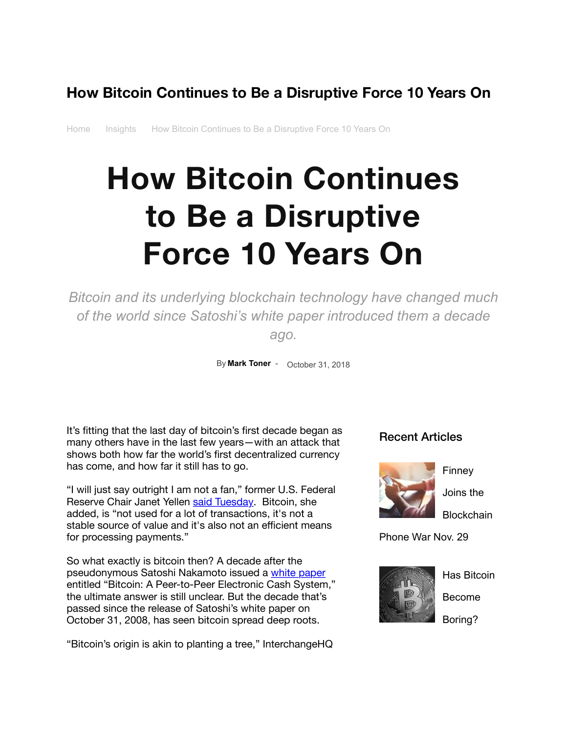# **How Bitcoin Continues to Be a Disruptive Force 10 Years On**

[Home](https://thirtyk.com/) [Insights](https://thirtyk.com/category/insights/) How Bitcoin Continues to Be a Disruptive Force 10 Years On

# **How Bitcoin Continues to Be a Disruptive Force 10 Years On**

*Bitcoin and its underlying blockchain technology have changed much of the world since Satoshi's white paper introduced them a decade ago.*

By **[Mark Toner](https://thirtyk.com/author/marktoner/)** - October 31, 2018

It's fitting that the last day of bitcoin's first decade began as many others have in the last few years—with an attack that shows both how far the world's first decentralized currency has come, and how far it still has to go.

"I will just say outright I am not a fan," former U.S. Federal Reserve Chair Janet Yellen [said Tuesday.](https://www.coindesk.com/former-fed-chair-janet-yellen-is-not-a-fan-of-bitcoin/) Bitcoin, she added, is "not used for a lot of transactions, it's not a stable source of value and it's also not an efficient means for processing payments."

So what exactly is bitcoin then? A decade after the pseudonymous Satoshi Nakamoto issued a [white paper](https://bitcoin.org/bitcoin.pdf) entitled "Bitcoin: A Peer-to-Peer Electronic Cash System," the ultimate answer is still unclear. But the decade that's passed since the release of Satoshi's white paper on October 31, 2008, has seen bitcoin spread deep roots.

"Bitcoin's origin is akin to planting a tree," InterchangeHQ

### Recent Articles



Finney

**Blockchain** 

Joins the

Phone War Nov. 29



Has Bitcoin Become Boring?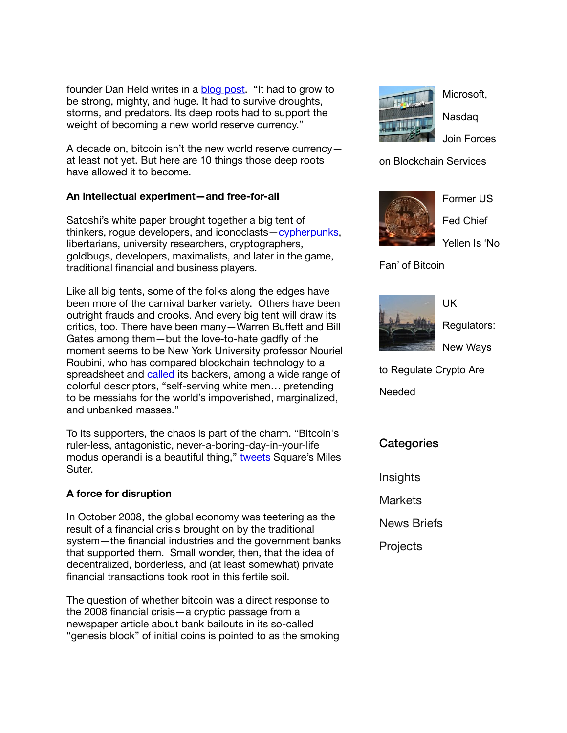founder Dan Held writes in a [blog post](applewebdata://7BB91EF6-5FC5-40A5-B2B2-684A8EEF5264/.%20https:/medium.com/@danhedl/planting-bitcoin-sound-money-72e80e40ff62). "It had to grow to be strong, mighty, and huge. It had to survive droughts, storms, and predators. Its deep roots had to support the weight of becoming a new world reserve currency."

A decade on, bitcoin isn't the new world reserve currency at least not yet. But here are 10 things those deep roots have allowed it to become.

#### **An intellectual experiment—and free-for-all**

Satoshi's white paper brought together a big tent of thinkers, rogue developers, and iconoclasts[—cypherpunks,](https://www.activism.net/cypherpunk/manifesto.html) libertarians, university researchers, cryptographers, goldbugs, developers, maximalists, and later in the game, traditional financial and business players.

Like all big tents, some of the folks along the edges have been more of the carnival barker variety. Others have been outright frauds and crooks. And every big tent will draw its critics, too. There have been many—Warren Buffett and Bill Gates among them—but the love-to-hate gadfly of the moment seems to be New York University professor Nouriel Roubini, who has compared blockchain technology to a spreadsheet and [called](https://www.marketwatch.com/story/roubini-calls-out-the-big-blockchain-lie-2018-10-17) its backers, among a wide range of colorful descriptors, "self-serving white men… pretending to be messiahs for the world's impoverished, marginalized, and unbanked masses."

To its supporters, the chaos is part of the charm. "Bitcoin's ruler-less, antagonistic, never-a-boring-day-in-your-life modus operandi is a beautiful thing," [tweets](https://twitter.com/WahWhoWah/status/947995503114858497) Square's Miles Suter.

#### **A force for disruption**

In October 2008, the global economy was teetering as the result of a financial crisis brought on by the traditional system—the financial industries and the government banks that supported them. Small wonder, then, that the idea of decentralized, borderless, and (at least somewhat) private financial transactions took root in this fertile soil.

The question of whether bitcoin was a direct response to the 2008 financial crisis—a cryptic passage from a newspaper article about bank bailouts in its so-called "genesis block" of initial coins is pointed to as the smoking



Microsoft, Nasdaq Join Forces

on Blockchain Services



Former US Fed Chief

Yellen Is 'No

Fan' of Bitcoin



Regulators: New Ways

UK

to Regulate Crypto Are

Needed

**Categories** 

**[Insights](https://thirtyk.com/category/insights/)** 

[Markets](https://thirtyk.com/category/markets/)

[News Briefs](https://thirtyk.com/category/news-briefs/)

**[Projects](https://thirtyk.com/category/projects/)**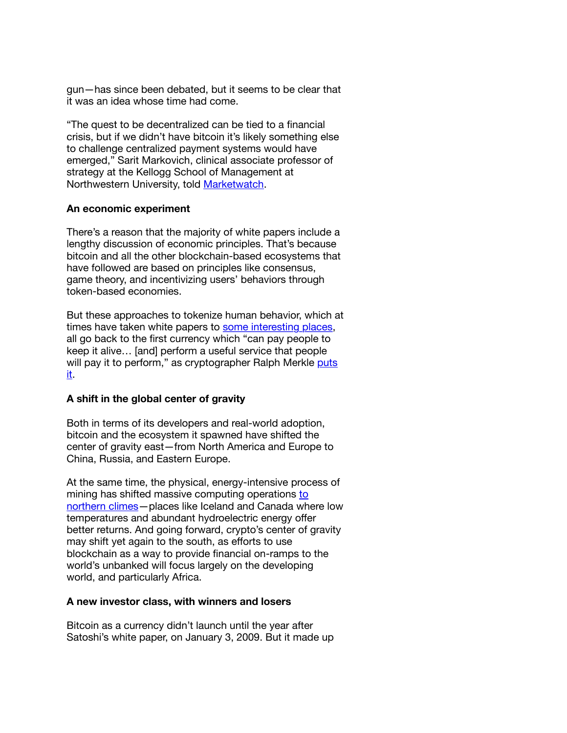gun—has since been debated, but it seems to be clear that it was an idea whose time had come.

"The quest to be decentralized can be tied to a financial crisis, but if we didn't have bitcoin it's likely something else to challenge centralized payment systems would have emerged," Sarit Markovich, clinical associate professor of strategy at the Kellogg School of Management at Northwestern University, told [Marketwatch](https://www.marketwatch.com/story/bitcoin-wasnt-a-response-to-the-financial-crisis-says-nyu-professor-2018-09-13).

#### **An economic experiment**

There's a reason that the majority of white papers include a lengthy discussion of economic principles. That's because bitcoin and all the other blockchain-based ecosystems that have followed are based on principles like consensus, game theory, and incentivizing users' behaviors through token-based economies.

But these approaches to tokenize human behavior, which at times have taken white papers to [some interesting places](https://thirtyk.com/2018/06/19/blockchain-whitepaper-vice/). all go back to the first currency which "can pay people to keep it alive… [and] perform a useful service that people [will pay it to perform," as cryptographer Ralph Merkle puts](https://mobile.twitter.com/SauceryCoin/status/1049184561974800384) it.

#### **A shift in the global center of gravity**

Both in terms of its developers and real-world adoption, bitcoin and the ecosystem it spawned have shifted the center of gravity east—from North America and Europe to China, Russia, and Eastern Europe.

At the same time, the physical, energy-intensive process of [mining has shifted massive computing operations to](https://thirtyk.com/2018/07/02/quebec-power-miners/) northern climes—places like Iceland and Canada where low temperatures and abundant hydroelectric energy offer better returns. And going forward, crypto's center of gravity may shift yet again to the south, as efforts to use blockchain as a way to provide financial on-ramps to the world's unbanked will focus largely on the developing world, and particularly Africa.

#### **A new investor class, with winners and losers**

Bitcoin as a currency didn't launch until the year after Satoshi's white paper, on January 3, 2009. But it made up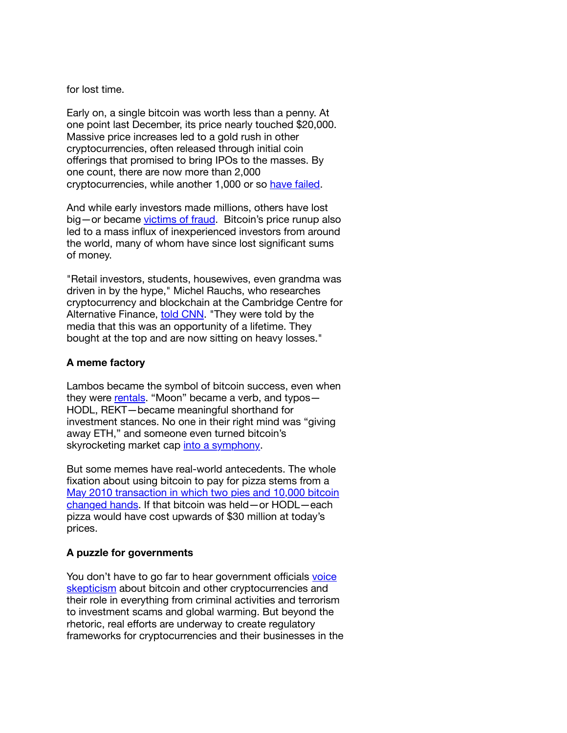for lost time.

Early on, a single bitcoin was worth less than a penny. At one point last December, its price nearly touched \$20,000. Massive price increases led to a gold rush in other cryptocurrencies, often released through initial coin offerings that promised to bring IPOs to the masses. By one count, there are now more than 2,000 cryptocurrencies, while another 1,000 or so [have failed.](https://deadcoins.com/)

And while early investors made millions, others have lost big—or became [victims of fraud.](https://en.wikipedia.org/wiki/Mt._Gox) Bitcoin's price runup also led to a mass influx of inexperienced investors from around the world, many of whom have since lost significant sums of money.

"Retail investors, students, housewives, even grandma was driven in by the hype," Michel Rauchs, who researches cryptocurrency and blockchain at the Cambridge Centre for Alternative Finance, [told CNN](https://money.cnn.com/2018/09/11/investing/bitcoin-crash-victim/index.html). "They were told by the media that this was an opportunity of a lifetime. They bought at the top and are now sitting on heavy losses."

#### **A meme factory**

Lambos became the symbol of bitcoin success, even when they were [rentals](https://www.businessinsider.com/cryptocurrency-exchange-rents-lamborghinis-to-park-outside-consensus-2018-5). "Moon" became a verb, and typos— HODL, REKT—became meaningful shorthand for investment stances. No one in their right mind was "giving away ETH," and someone even turned bitcoin's skyrocketing market cap [into a symphony.](https://www.reddit.com/r/CryptoCurrency/comments/9s34t7/total_market_cap_chart_as_a_sound_generator/?ref=share&ref_source=embed&utm_content=title&utm_medium=post_embed&utm_name=9612f35621bb46319118c4b2592e9108&utm_source=embedly&utm_term=9s34t7)

But some memes have real-world antecedents. The whole fixation about using bitcoin to pay for pizza stems from a [May 2010 transaction in which two pies and 10,000 bitcoin](https://www.investopedia.com/news/bitcoin-pizza-day-celebrating-20-million-pizza-order/) changed hands. If that bitcoin was held—or HODL—each pizza would have cost upwards of \$30 million at today's prices.

#### **A puzzle for governments**

You don't have to go far to hear government officials voice [skepticism about bitcoin and other cryptocurrencies and](https://thirtyk.com/2018/07/18/congress-bitcoin-skeptics/) their role in everything from criminal activities and terrorism to investment scams and global warming. But beyond the rhetoric, real efforts are underway to create regulatory frameworks for cryptocurrencies and their businesses in the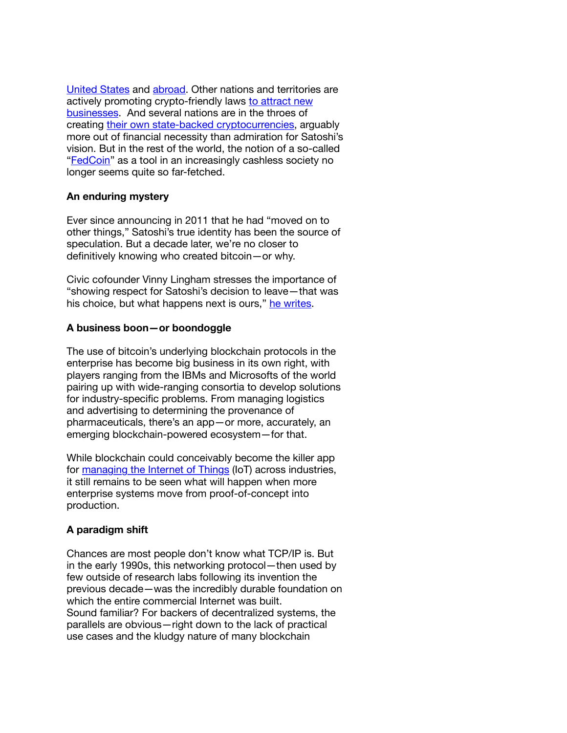[United States](https://thirtyk.com/2018/06/15/sec-crypto-securities/) and [abroad](https://thirtyk.com/2018/08/06/world-blockchain-regulation/). Other nations and territories are [actively promoting crypto-friendly laws to attract new](https://thirtyk.com/2018/05/15/blockchain-innovation-government/) businesses. And several nations are in the throes of creating [their own state-backed cryptocurrencies,](https://thirtyk.com/2018/08/29/state-sponsored-cryptocurrency/) arguably more out of financial necessity than admiration for Satoshi's vision. But in the rest of the world, the notion of a so-called "[FedCoin](https://thirtyk.com/2018/06/07/fedcoin-five-things/)" as a tool in an increasingly cashless society no longer seems quite so far-fetched.

#### **An enduring mystery**

Ever since announcing in 2011 that he had "moved on to other things," Satoshi's true identity has been the source of speculation. But a decade later, we're no closer to definitively knowing who created bitcoin—or why.

Civic cofounder Vinny Lingham stresses the importance of "showing respect for Satoshi's decision to leave—that was his choice, but what happens next is ours," [he writes](https://vinnylingham.com/satoshis-choice-a439057e2d11).

#### **A business boon—or boondoggle**

The use of bitcoin's underlying blockchain protocols in the enterprise has become big business in its own right, with players ranging from the IBMs and Microsofts of the world pairing up with wide-ranging consortia to develop solutions for industry-specific problems. From managing logistics and advertising to determining the provenance of pharmaceuticals, there's an app—or more, accurately, an emerging blockchain-powered ecosystem—for that.

While blockchain could conceivably become the killer app for [managing the Internet of Things](https://thirtyk.com/2018/08/15/cisco-blockchain-iot/) (IoT) across industries, it still remains to be seen what will happen when more enterprise systems move from proof-of-concept into production.

#### **A paradigm shift**

Chances are most people don't know what TCP/IP is. But in the early 1990s, this networking protocol—then used by few outside of research labs following its invention the previous decade—was the incredibly durable foundation on which the entire commercial Internet was built. Sound familiar? For backers of decentralized systems, the parallels are obvious—right down to the lack of practical use cases and the kludgy nature of many blockchain